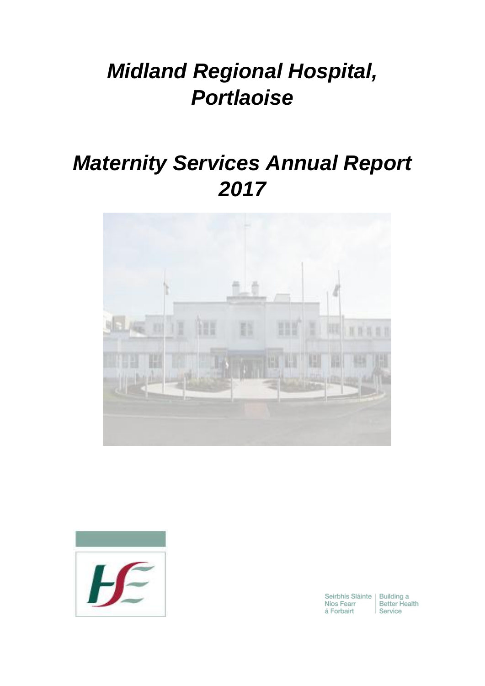# *Midland Regional Hospital, Portlaoise*

# *Maternity Services Annual Report 2017*





Seirbhís Sláinte | Building a<br>Níos Fearr | Better Hea<br>á Forbairt | Service Better Health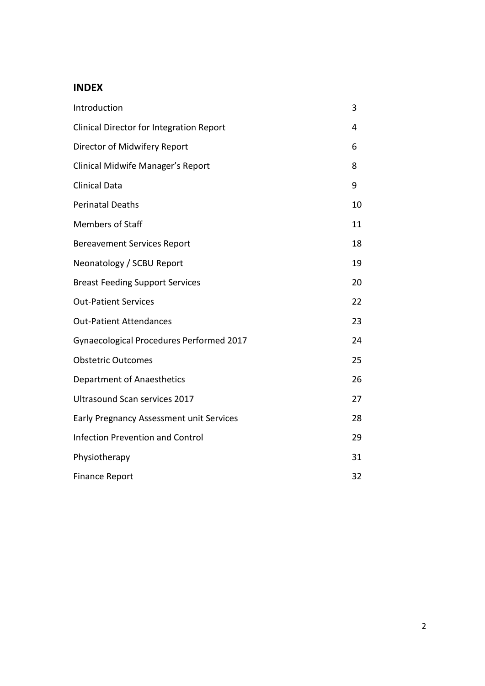# **INDEX**

| Introduction                                    | 3  |
|-------------------------------------------------|----|
| <b>Clinical Director for Integration Report</b> | 4  |
| Director of Midwifery Report                    | 6  |
| Clinical Midwife Manager's Report               | 8  |
| <b>Clinical Data</b>                            | 9  |
| <b>Perinatal Deaths</b>                         | 10 |
| <b>Members of Staff</b>                         | 11 |
| <b>Bereavement Services Report</b>              | 18 |
| Neonatology / SCBU Report                       | 19 |
| <b>Breast Feeding Support Services</b>          | 20 |
| <b>Out-Patient Services</b>                     | 22 |
| <b>Out-Patient Attendances</b>                  | 23 |
| Gynaecological Procedures Performed 2017        | 24 |
| <b>Obstetric Outcomes</b>                       | 25 |
| Department of Anaesthetics                      | 26 |
| Ultrasound Scan services 2017                   | 27 |
| Early Pregnancy Assessment unit Services        | 28 |
| <b>Infection Prevention and Control</b>         | 29 |
| Physiotherapy                                   | 31 |
| <b>Finance Report</b>                           | 32 |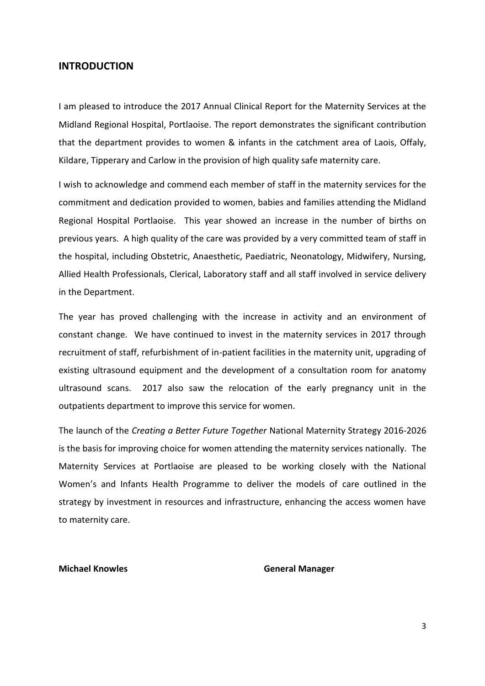#### **INTRODUCTION**

I am pleased to introduce the 2017 Annual Clinical Report for the Maternity Services at the Midland Regional Hospital, Portlaoise. The report demonstrates the significant contribution that the department provides to women & infants in the catchment area of Laois, Offaly, Kildare, Tipperary and Carlow in the provision of high quality safe maternity care.

I wish to acknowledge and commend each member of staff in the maternity services for the commitment and dedication provided to women, babies and families attending the Midland Regional Hospital Portlaoise. This year showed an increase in the number of births on previous years. A high quality of the care was provided by a very committed team of staff in the hospital, including Obstetric, Anaesthetic, Paediatric, Neonatology, Midwifery, Nursing, Allied Health Professionals, Clerical, Laboratory staff and all staff involved in service delivery in the Department.

The year has proved challenging with the increase in activity and an environment of constant change. We have continued to invest in the maternity services in 2017 through recruitment of staff, refurbishment of in-patient facilities in the maternity unit, upgrading of existing ultrasound equipment and the development of a consultation room for anatomy ultrasound scans. 2017 also saw the relocation of the early pregnancy unit in the outpatients department to improve this service for women.

The launch of the *Creating a Better Future Together* National Maternity Strategy 2016-2026 is the basis for improving choice for women attending the maternity services nationally. The Maternity Services at Portlaoise are pleased to be working closely with the National Women's and Infants Health Programme to deliver the models of care outlined in the strategy by investment in resources and infrastructure, enhancing the access women have to maternity care.

#### **Michael Knowles Community Community Community Community General Manager**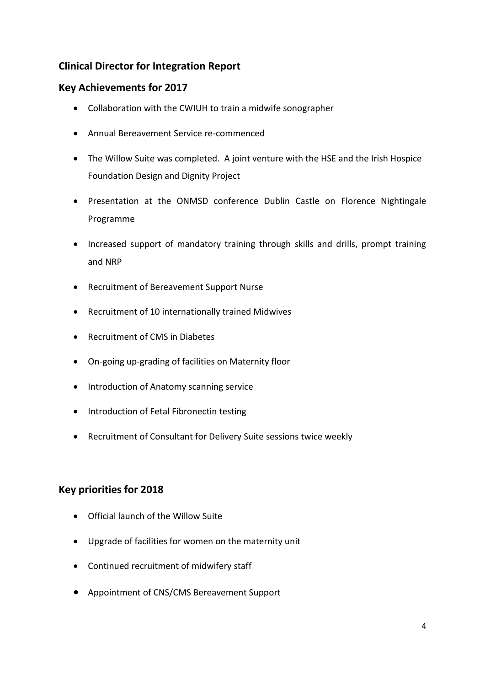# **Clinical Director for Integration Report**

# **Key Achievements for 2017**

- Collaboration with the CWIUH to train a midwife sonographer
- Annual Bereavement Service re-commenced
- The Willow Suite was completed. A joint venture with the HSE and the Irish Hospice Foundation Design and Dignity Project
- Presentation at the ONMSD conference Dublin Castle on Florence Nightingale Programme
- Increased support of mandatory training through skills and drills, prompt training and NRP
- Recruitment of Bereavement Support Nurse
- Recruitment of 10 internationally trained Midwives
- Recruitment of CMS in Diabetes
- On-going up-grading of facilities on Maternity floor
- Introduction of Anatomy scanning service
- Introduction of Fetal Fibronectin testing
- Recruitment of Consultant for Delivery Suite sessions twice weekly

# **Key priorities for 2018**

- Official launch of the Willow Suite
- Upgrade of facilities for women on the maternity unit
- Continued recruitment of midwifery staff
- Appointment of CNS/CMS Bereavement Support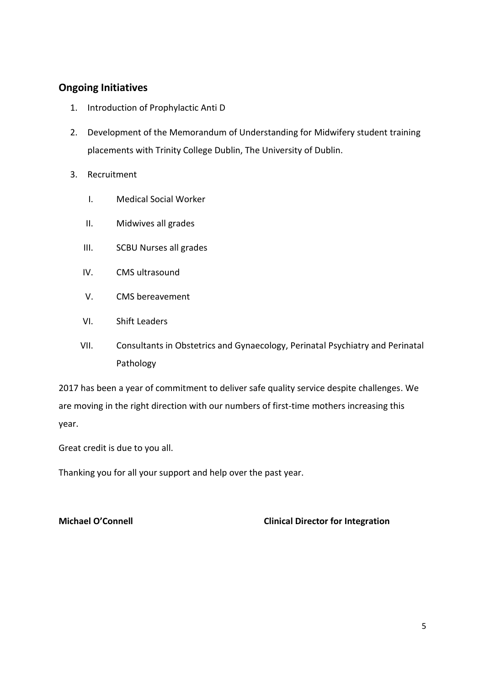# **Ongoing Initiatives**

- 1. Introduction of Prophylactic Anti D
- 2. Development of the Memorandum of Understanding for Midwifery student training placements with Trinity College Dublin, The University of Dublin.
- 3. Recruitment
	- I. Medical Social Worker
	- II. Midwives all grades
	- III. SCBU Nurses all grades
	- IV. CMS ultrasound
	- V. CMS bereavement
	- VI. Shift Leaders
	- VII. Consultants in Obstetrics and Gynaecology, Perinatal Psychiatry and Perinatal Pathology

2017 has been a year of commitment to deliver safe quality service despite challenges. We are moving in the right direction with our numbers of first-time mothers increasing this year.

Great credit is due to you all.

Thanking you for all your support and help over the past year.

#### **Michael O'Connell Clinical Director for Integration**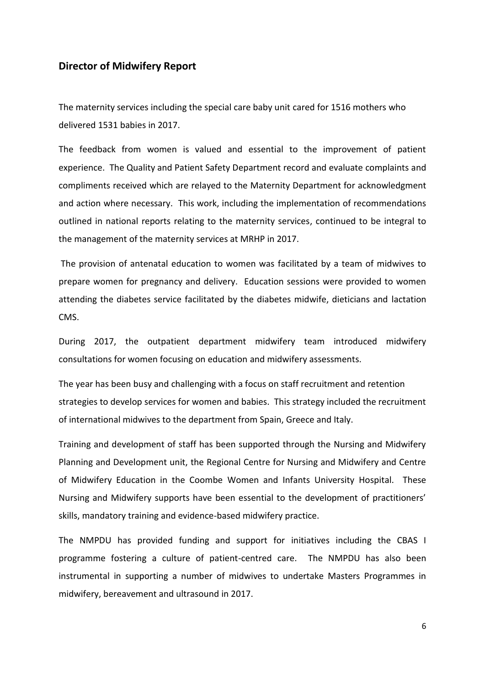#### **Director of Midwifery Report**

The maternity services including the special care baby unit cared for 1516 mothers who delivered 1531 babies in 2017.

The feedback from women is valued and essential to the improvement of patient experience. The Quality and Patient Safety Department record and evaluate complaints and compliments received which are relayed to the Maternity Department for acknowledgment and action where necessary. This work, including the implementation of recommendations outlined in national reports relating to the maternity services, continued to be integral to the management of the maternity services at MRHP in 2017.

The provision of antenatal education to women was facilitated by a team of midwives to prepare women for pregnancy and delivery. Education sessions were provided to women attending the diabetes service facilitated by the diabetes midwife, dieticians and lactation CMS.

During 2017, the outpatient department midwifery team introduced midwifery consultations for women focusing on education and midwifery assessments.

The year has been busy and challenging with a focus on staff recruitment and retention strategies to develop services for women and babies. This strategy included the recruitment of international midwives to the department from Spain, Greece and Italy.

Training and development of staff has been supported through the Nursing and Midwifery Planning and Development unit, the Regional Centre for Nursing and Midwifery and Centre of Midwifery Education in the Coombe Women and Infants University Hospital. These Nursing and Midwifery supports have been essential to the development of practitioners' skills, mandatory training and evidence-based midwifery practice.

The NMPDU has provided funding and support for initiatives including the CBAS I programme fostering a culture of patient-centred care. The NMPDU has also been instrumental in supporting a number of midwives to undertake Masters Programmes in midwifery, bereavement and ultrasound in 2017.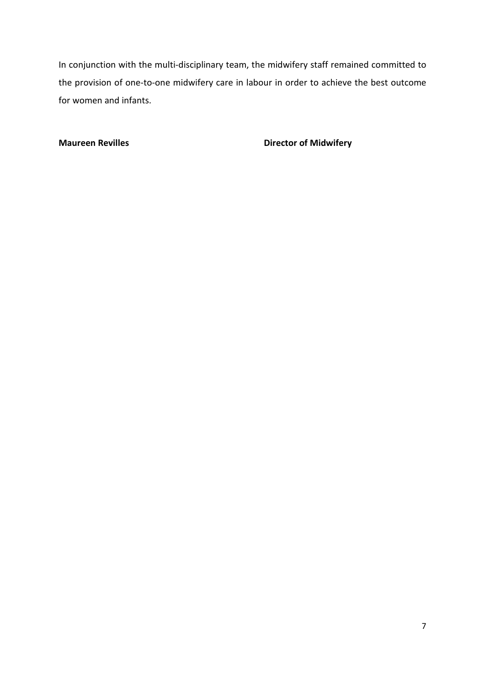In conjunction with the multi-disciplinary team, the midwifery staff remained committed to the provision of one-to-one midwifery care in labour in order to achieve the best outcome for women and infants.

**Maureen Revilles Director of Midwifery**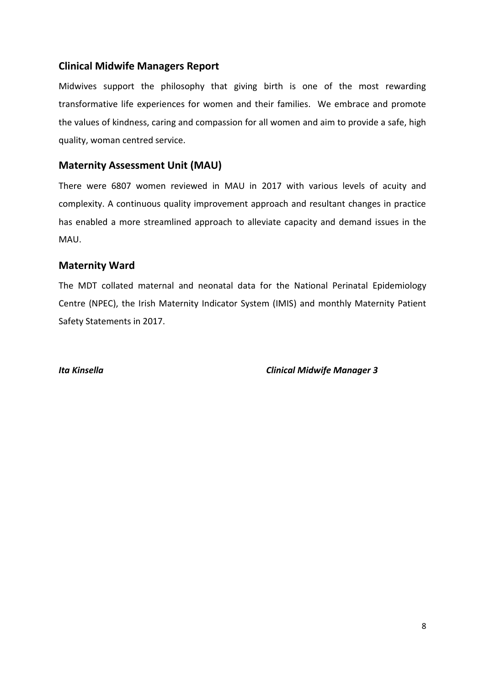# **Clinical Midwife Managers Report**

Midwives support the philosophy that giving birth is one of the most rewarding transformative life experiences for women and their families. We embrace and promote the values of kindness, caring and compassion for all women and aim to provide a safe, high quality, woman centred service.

# **Maternity Assessment Unit (MAU)**

There were 6807 women reviewed in MAU in 2017 with various levels of acuity and complexity. A continuous quality improvement approach and resultant changes in practice has enabled a more streamlined approach to alleviate capacity and demand issues in the MAU.

# **Maternity Ward**

The MDT collated maternal and neonatal data for the National Perinatal Epidemiology Centre (NPEC), the Irish Maternity Indicator System (IMIS) and monthly Maternity Patient Safety Statements in 2017.

*Ita Kinsella Clinical Midwife Manager 3*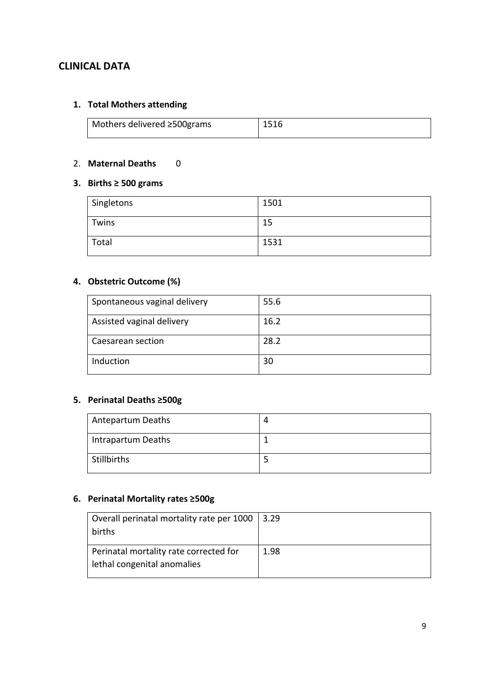# **CLINICAL DATA**

## **1. Total Mothers attending**

| Mothers delivered ≥500grams | 1516 |
|-----------------------------|------|
|                             |      |

#### 2. **Maternal Deaths** 0

## **3. Births ≥ 500 grams**

| Singletons | 1501 |
|------------|------|
| Twins      | 15   |
| Total      | 1531 |

## **4. Obstetric Outcome (%)**

| Spontaneous vaginal delivery | 55.6 |
|------------------------------|------|
| Assisted vaginal delivery    | 16.2 |
| Caesarean section            | 28.2 |
| Induction                    | 30   |

# **5. Perinatal Deaths ≥500g**

| Antepartum Deaths  |  |
|--------------------|--|
| Intrapartum Deaths |  |
| <b>Stillbirths</b> |  |

# **6. Perinatal Mortality rates ≥500g**

| Overall perinatal mortality rate per 1000<br>births                   | 3.29 |
|-----------------------------------------------------------------------|------|
| Perinatal mortality rate corrected for<br>lethal congenital anomalies | 1.98 |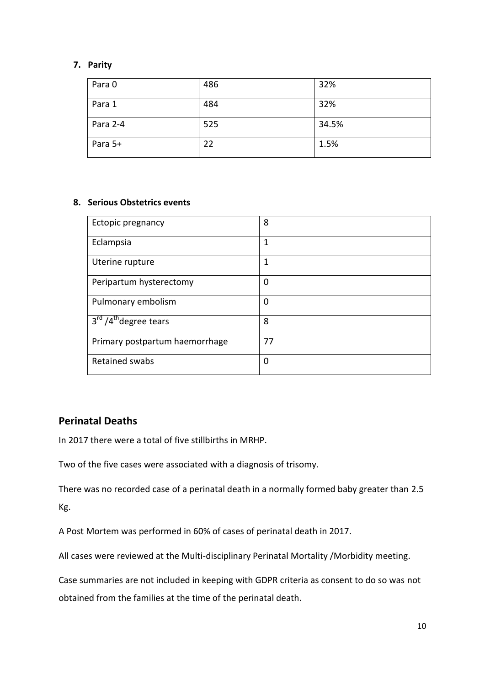## **7. Parity**

| Para 0   | 486 | 32%   |
|----------|-----|-------|
| Para 1   | 484 | 32%   |
| Para 2-4 | 525 | 34.5% |
| Para 5+  | 22  | 1.5%  |

#### **8. Serious Obstetrics events**

| Ectopic pregnancy                                        | 8        |
|----------------------------------------------------------|----------|
| Eclampsia                                                | 1        |
| Uterine rupture                                          | 1        |
| Peripartum hysterectomy                                  | $\Omega$ |
| Pulmonary embolism                                       | 0        |
| $\overline{3}^{\text{rd}}$ /4 <sup>th</sup> degree tears | 8        |
| Primary postpartum haemorrhage                           | 77       |
| Retained swabs                                           | $\Omega$ |

# **Perinatal Deaths**

In 2017 there were a total of five stillbirths in MRHP.

Two of the five cases were associated with a diagnosis of trisomy.

There was no recorded case of a perinatal death in a normally formed baby greater than 2.5 Kg.

A Post Mortem was performed in 60% of cases of perinatal death in 2017.

All cases were reviewed at the Multi-disciplinary Perinatal Mortality /Morbidity meeting.

Case summaries are not included in keeping with GDPR criteria as consent to do so was not obtained from the families at the time of the perinatal death.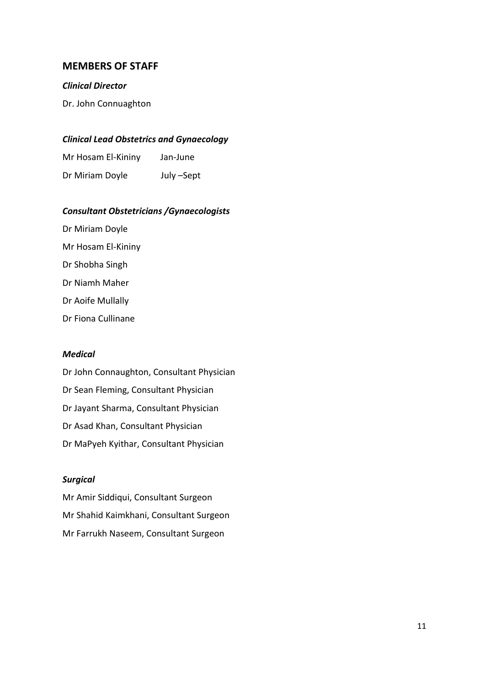## **MEMBERS OF STAFF**

#### *Clinical Director*

Dr. John Connuaghton

#### *Clinical Lead Obstetrics and Gynaecology*

| Mr Hosam El-Kininy | Jan-June   |
|--------------------|------------|
| Dr Miriam Doyle    | July –Sept |

#### *Consultant Obstetricians /Gynaecologists*

Dr Miriam Doyle Mr Hosam El-Kininy Dr Shobha Singh Dr Niamh Maher Dr Aoife Mullally Dr Fiona Cullinane

#### *Medical*

Dr John Connaughton, Consultant Physician Dr Sean Fleming, Consultant Physician Dr Jayant Sharma, Consultant Physician Dr Asad Khan, Consultant Physician Dr MaPyeh Kyithar, Consultant Physician

#### *Surgical*

Mr Amir Siddiqui, Consultant Surgeon Mr Shahid Kaimkhani, Consultant Surgeon Mr Farrukh Naseem, Consultant Surgeon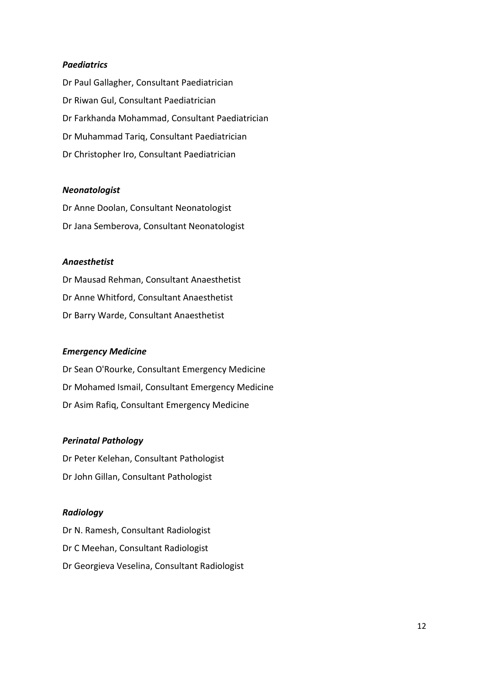#### *Paediatrics*

Dr Paul Gallagher, Consultant Paediatrician Dr Riwan Gul, Consultant Paediatrician Dr Farkhanda Mohammad, Consultant Paediatrician Dr Muhammad Tariq, Consultant Paediatrician Dr Christopher Iro, Consultant Paediatrician

#### *Neonatologist*

Dr Anne Doolan, Consultant Neonatologist Dr Jana Semberova, Consultant Neonatologist

#### *Anaesthetist*

Dr Mausad Rehman, Consultant Anaesthetist Dr Anne Whitford, Consultant Anaesthetist Dr Barry Warde, Consultant Anaesthetist

#### *Emergency Medicine*

Dr Sean O'Rourke, Consultant Emergency Medicine Dr Mohamed Ismail, Consultant Emergency Medicine Dr Asim Rafiq, Consultant Emergency Medicine

#### *Perinatal Pathology*

Dr Peter Kelehan, Consultant Pathologist Dr John Gillan, Consultant Pathologist

#### *Radiology*

Dr N. Ramesh, Consultant Radiologist Dr C Meehan, Consultant Radiologist Dr Georgieva Veselina, Consultant Radiologist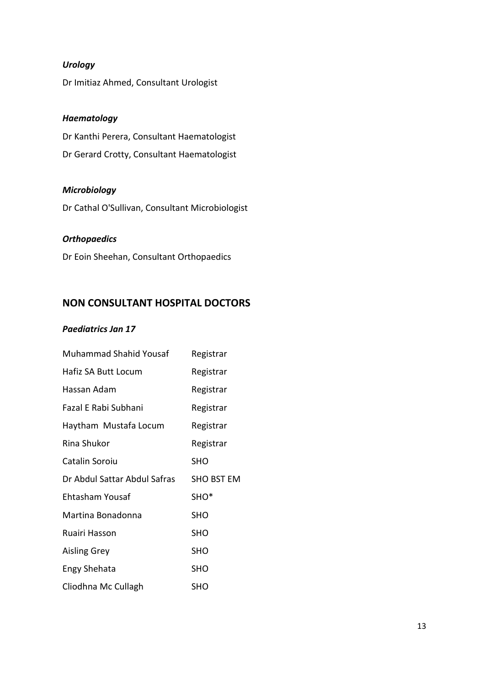# *Urology*

Dr Imitiaz Ahmed, Consultant Urologist

# *Haematology*

Dr Kanthi Perera, Consultant Haematologist Dr Gerard Crotty, Consultant Haematologist

#### *Microbiology*

Dr Cathal O'Sullivan, Consultant Microbiologist

#### *Orthopaedics*

Dr Eoin Sheehan, Consultant Orthopaedics

# **NON CONSULTANT HOSPITAL DOCTORS**

#### *Paediatrics Jan 17*

| <b>Muhammad Shahid Yousaf</b> | Registrar         |
|-------------------------------|-------------------|
| Hafiz SA Butt Locum           | Registrar         |
| Hassan Adam                   | Registrar         |
| Fazal E Rabi Subhani          | Registrar         |
| Haytham Mustafa Locum         | Registrar         |
| Rina Shukor                   | Registrar         |
| Catalin Soroiu                | <b>SHO</b>        |
| Dr Abdul Sattar Abdul Safras  | <b>SHO BST EM</b> |
| Ehtasham Yousaf               | SHO <sup>*</sup>  |
| Martina Bonadonna             | SHO               |
| Ruairi Hasson                 | <b>SHO</b>        |
| <b>Aisling Grey</b>           | <b>SHO</b>        |
| Engy Shehata                  | <b>SHO</b>        |
| Cliodhna Mc Cullagh           | SHO               |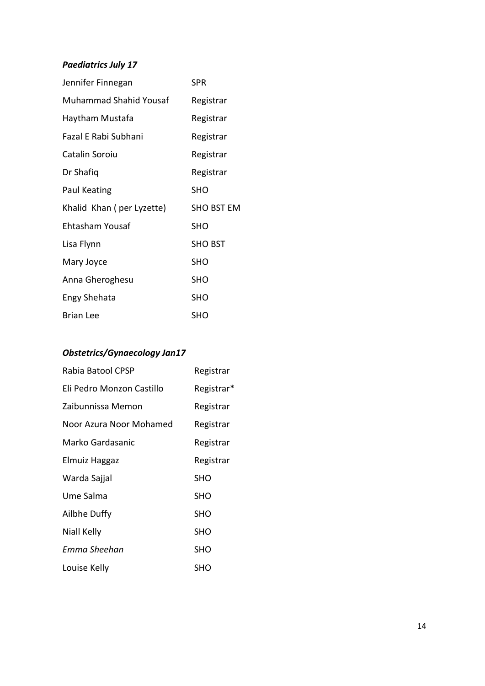# *Paediatrics July 17*

| Jennifer Finnegan             | <b>SPR</b>        |
|-------------------------------|-------------------|
| <b>Muhammad Shahid Yousaf</b> | Registrar         |
| Haytham Mustafa               | Registrar         |
| Fazal E Rabi Subhani          | Registrar         |
| Catalin Soroiu                | Registrar         |
| Dr Shafiq                     | Registrar         |
| Paul Keating                  | <b>SHO</b>        |
| Khalid Khan (per Lyzette)     | <b>SHO BST EM</b> |
| Ehtasham Yousaf               | <b>SHO</b>        |
| Lisa Flynn                    | <b>SHO BST</b>    |
| Mary Joyce                    | SHO               |
| Anna Gheroghesu               | <b>SHO</b>        |
| Engy Shehata                  | <b>SHO</b>        |
| <b>Brian Lee</b>              | <b>SHO</b>        |

# *Obstetrics/Gynaecology Jan17*

| Rabia Batool CPSP         | Registrar  |
|---------------------------|------------|
| Eli Pedro Monzon Castillo | Registrar* |
| Zaibunnissa Memon         | Registrar  |
| Noor Azura Noor Mohamed   | Registrar  |
| Marko Gardasanic          | Registrar  |
| Elmuiz Haggaz             | Registrar  |
| Warda Sajjal              | <b>SHO</b> |
| Ume Salma                 | <b>SHO</b> |
| Ailbhe Duffy              | <b>SHO</b> |
| Niall Kelly               | <b>SHO</b> |
| Emma Sheehan              | SHO        |
| Louise Kelly              | SHO        |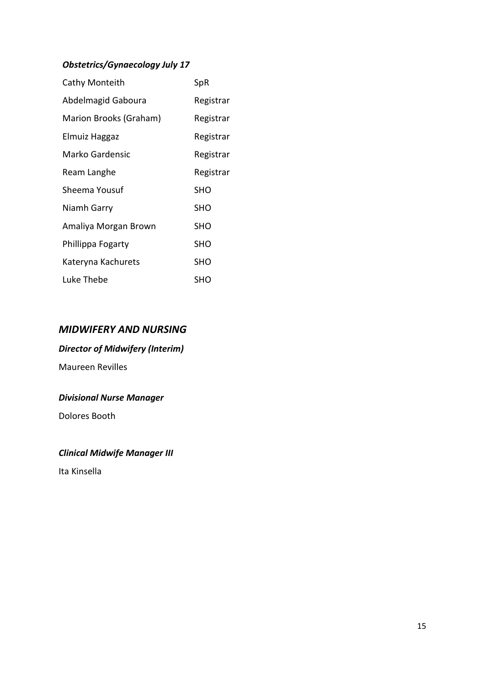# *Obstetrics/Gynaecology July 17*

| Cathy Monteith         | SpR        |
|------------------------|------------|
| Abdelmagid Gaboura     | Registrar  |
| Marion Brooks (Graham) | Registrar  |
| Elmuiz Haggaz          | Registrar  |
| Marko Gardensic        | Registrar  |
| Ream Langhe            | Registrar  |
| Sheema Yousuf          | <b>SHO</b> |
| Niamh Garry            | SHO        |
| Amaliya Morgan Brown   | <b>SHO</b> |
| Phillippa Fogarty      | <b>SHO</b> |
| Kateryna Kachurets     | SHO        |
| Luke Thebe             | SHO        |

# *MIDWIFERY AND NURSING*

# *Director of Midwifery (Interim)*

Maureen Revilles

# *Divisional Nurse Manager*

Dolores Booth

# *Clinical Midwife Manager III*

Ita Kinsella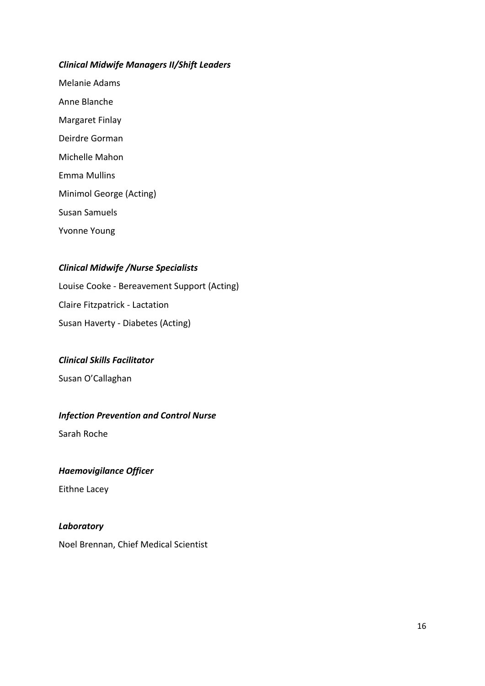#### *Clinical Midwife Managers II/Shift Leaders*

Melanie Adams Anne Blanche Margaret Finlay Deirdre Gorman Michelle Mahon Emma Mullins Minimol George (Acting) Susan Samuels Yvonne Young

## *Clinical Midwife /Nurse Specialists*

Louise Cooke - Bereavement Support (Acting) Claire Fitzpatrick - Lactation Susan Haverty - Diabetes (Acting)

#### *Clinical Skills Facilitator*

Susan O'Callaghan

#### *Infection Prevention and Control Nurse*

Sarah Roche

#### *Haemovigilance Officer*

Eithne Lacey

#### *Laboratory*

Noel Brennan, Chief Medical Scientist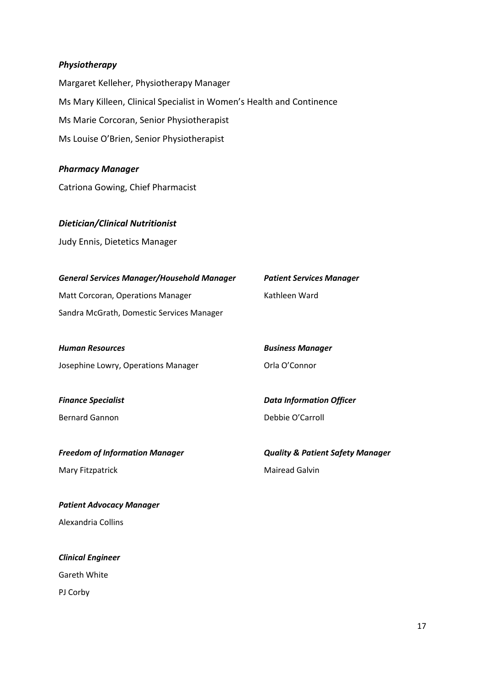#### *Physiotherapy*

Margaret Kelleher, Physiotherapy Manager Ms Mary Killeen, Clinical Specialist in Women's Health and Continence Ms Marie Corcoran, Senior Physiotherapist Ms Louise O'Brien, Senior Physiotherapist

*Pharmacy Manager*

Catriona Gowing, Chief Pharmacist

#### *Dietician/Clinical Nutritionist*

Judy Ennis, Dietetics Manager

| <b>General Services Manager/Household Manager</b> | <b>Patient Services Manager</b> |
|---------------------------------------------------|---------------------------------|
| Matt Corcoran, Operations Manager                 | Kathleen Ward                   |
| Sandra McGrath, Domestic Services Manager         |                                 |

*Human Resources Business Manager* Josephine Lowry, Operations Manager **Drivers** Orla O'Connor

Bernard Gannon **Debbie O'Carroll** 

Mary Fitzpatrick Mairead Galvin

*Patient Advocacy Manager* Alexandria Collins

*Clinical Engineer* Gareth White PJ Corby

*Finance Specialist Data Information Officer*

*Freedom of Information Manager Quality & Patient Safety Manager*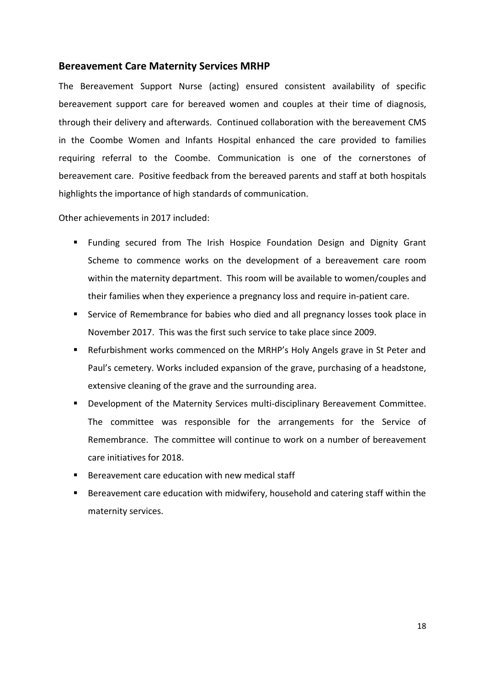#### **Bereavement Care Maternity Services MRHP**

The Bereavement Support Nurse (acting) ensured consistent availability of specific bereavement support care for bereaved women and couples at their time of diagnosis, through their delivery and afterwards. Continued collaboration with the bereavement CMS in the Coombe Women and Infants Hospital enhanced the care provided to families requiring referral to the Coombe. Communication is one of the cornerstones of bereavement care. Positive feedback from the bereaved parents and staff at both hospitals highlights the importance of high standards of communication.

Other achievements in 2017 included:

- Funding secured from The Irish Hospice Foundation Design and Dignity Grant Scheme to commence works on the development of a bereavement care room within the maternity department. This room will be available to women/couples and their families when they experience a pregnancy loss and require in-patient care.
- Service of Remembrance for babies who died and all pregnancy losses took place in November 2017. This was the first such service to take place since 2009.
- Refurbishment works commenced on the MRHP's Holy Angels grave in St Peter and Paul's cemetery. Works included expansion of the grave, purchasing of a headstone, extensive cleaning of the grave and the surrounding area.
- **Development of the Maternity Services multi-disciplinary Bereavement Committee.** The committee was responsible for the arrangements for the Service of Remembrance. The committee will continue to work on a number of bereavement care initiatives for 2018.
- Bereavement care education with new medical staff
- Bereavement care education with midwifery, household and catering staff within the maternity services.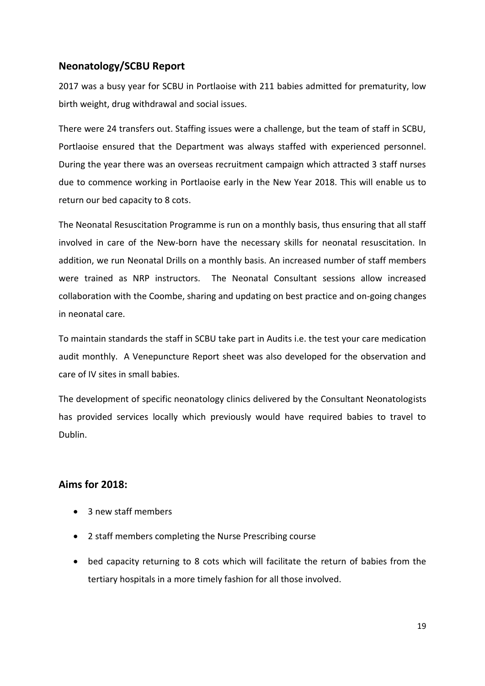# **Neonatology/SCBU Report**

2017 was a busy year for SCBU in Portlaoise with 211 babies admitted for prematurity, low birth weight, drug withdrawal and social issues.

There were 24 transfers out. Staffing issues were a challenge, but the team of staff in SCBU, Portlaoise ensured that the Department was always staffed with experienced personnel. During the year there was an overseas recruitment campaign which attracted 3 staff nurses due to commence working in Portlaoise early in the New Year 2018. This will enable us to return our bed capacity to 8 cots.

The Neonatal Resuscitation Programme is run on a monthly basis, thus ensuring that all staff involved in care of the New-born have the necessary skills for neonatal resuscitation. In addition, we run Neonatal Drills on a monthly basis. An increased number of staff members were trained as NRP instructors. The Neonatal Consultant sessions allow increased collaboration with the Coombe, sharing and updating on best practice and on-going changes in neonatal care.

To maintain standards the staff in SCBU take part in Audits i.e. the test your care medication audit monthly. A Venepuncture Report sheet was also developed for the observation and care of IV sites in small babies.

The development of specific neonatology clinics delivered by the Consultant Neonatologists has provided services locally which previously would have required babies to travel to Dublin.

# **Aims for 2018:**

- 3 new staff members
- 2 staff members completing the Nurse Prescribing course
- bed capacity returning to 8 cots which will facilitate the return of babies from the tertiary hospitals in a more timely fashion for all those involved.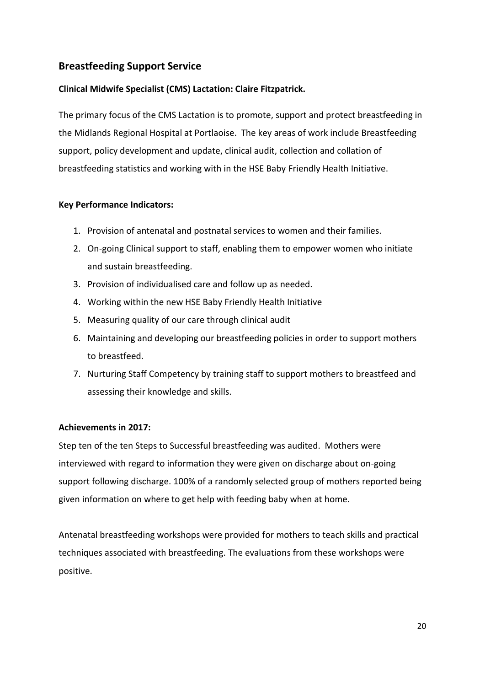# **Breastfeeding Support Service**

### **Clinical Midwife Specialist (CMS) Lactation: Claire Fitzpatrick.**

The primary focus of the CMS Lactation is to promote, support and protect breastfeeding in the Midlands Regional Hospital at Portlaoise. The key areas of work include Breastfeeding support, policy development and update, clinical audit, collection and collation of breastfeeding statistics and working with in the HSE Baby Friendly Health Initiative.

#### **Key Performance Indicators:**

- 1. Provision of antenatal and postnatal services to women and their families.
- 2. On-going Clinical support to staff, enabling them to empower women who initiate and sustain breastfeeding.
- 3. Provision of individualised care and follow up as needed.
- 4. Working within the new HSE Baby Friendly Health Initiative
- 5. Measuring quality of our care through clinical audit
- 6. Maintaining and developing our breastfeeding policies in order to support mothers to breastfeed.
- 7. Nurturing Staff Competency by training staff to support mothers to breastfeed and assessing their knowledge and skills.

#### **Achievements in 2017:**

Step ten of the ten Steps to Successful breastfeeding was audited. Mothers were interviewed with regard to information they were given on discharge about on-going support following discharge. 100% of a randomly selected group of mothers reported being given information on where to get help with feeding baby when at home.

Antenatal breastfeeding workshops were provided for mothers to teach skills and practical techniques associated with breastfeeding. The evaluations from these workshops were positive.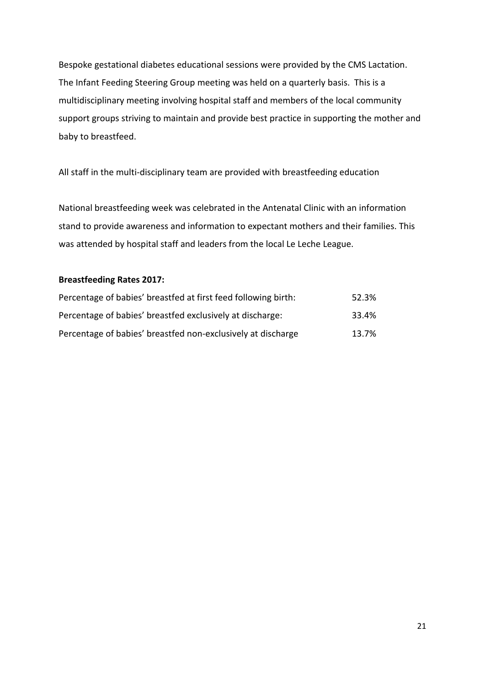Bespoke gestational diabetes educational sessions were provided by the CMS Lactation. The Infant Feeding Steering Group meeting was held on a quarterly basis. This is a multidisciplinary meeting involving hospital staff and members of the local community support groups striving to maintain and provide best practice in supporting the mother and baby to breastfeed.

All staff in the multi-disciplinary team are provided with breastfeeding education

National breastfeeding week was celebrated in the Antenatal Clinic with an information stand to provide awareness and information to expectant mothers and their families. This was attended by hospital staff and leaders from the local Le Leche League.

## **Breastfeeding Rates 2017:**

| Percentage of babies' breastfed at first feed following birth: | 52.3% |
|----------------------------------------------------------------|-------|
| Percentage of babies' breastfed exclusively at discharge:      | 33.4% |
| Percentage of babies' breastfed non-exclusively at discharge   | 13.7% |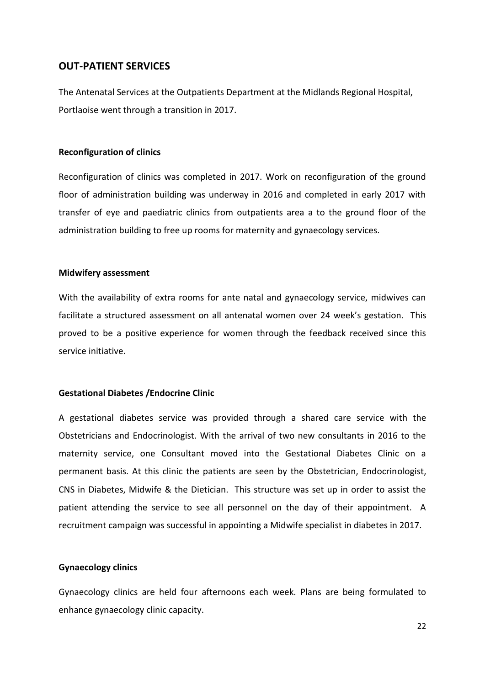#### **OUT-PATIENT SERVICES**

The Antenatal Services at the Outpatients Department at the Midlands Regional Hospital, Portlaoise went through a transition in 2017.

#### **Reconfiguration of clinics**

Reconfiguration of clinics was completed in 2017. Work on reconfiguration of the ground floor of administration building was underway in 2016 and completed in early 2017 with transfer of eye and paediatric clinics from outpatients area a to the ground floor of the administration building to free up rooms for maternity and gynaecology services.

#### **Midwifery assessment**

With the availability of extra rooms for ante natal and gynaecology service, midwives can facilitate a structured assessment on all antenatal women over 24 week's gestation. This proved to be a positive experience for women through the feedback received since this service initiative.

#### **Gestational Diabetes /Endocrine Clinic**

A gestational diabetes service was provided through a shared care service with the Obstetricians and Endocrinologist. With the arrival of two new consultants in 2016 to the maternity service, one Consultant moved into the Gestational Diabetes Clinic on a permanent basis. At this clinic the patients are seen by the Obstetrician, Endocrinologist, CNS in Diabetes, Midwife & the Dietician. This structure was set up in order to assist the patient attending the service to see all personnel on the day of their appointment. A recruitment campaign was successful in appointing a Midwife specialist in diabetes in 2017.

#### **Gynaecology clinics**

Gynaecology clinics are held four afternoons each week. Plans are being formulated to enhance gynaecology clinic capacity.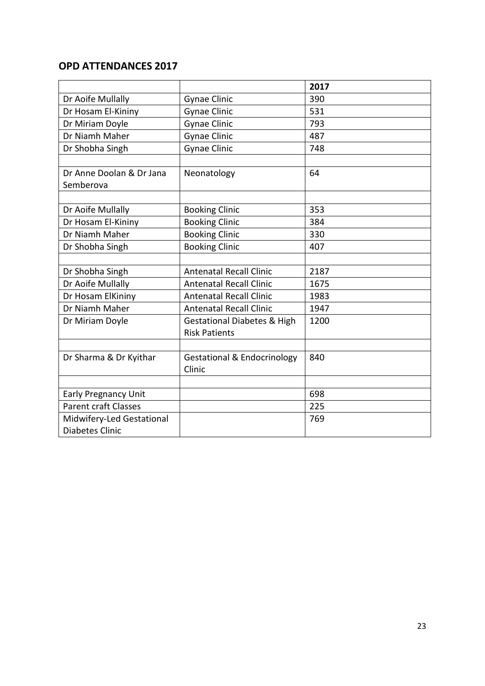# **OPD ATTENDANCES 2017**

|                             |                                        | 2017 |
|-----------------------------|----------------------------------------|------|
| Dr Aoife Mullally           | <b>Gynae Clinic</b>                    | 390  |
| Dr Hosam El-Kininy          | <b>Gynae Clinic</b>                    | 531  |
| Dr Miriam Doyle             | <b>Gynae Clinic</b>                    | 793  |
| Dr Niamh Maher              | <b>Gynae Clinic</b>                    | 487  |
| Dr Shobha Singh             | <b>Gynae Clinic</b>                    | 748  |
|                             |                                        |      |
| Dr Anne Doolan & Dr Jana    | Neonatology                            | 64   |
| Semberova                   |                                        |      |
|                             |                                        |      |
| Dr Aoife Mullally           | <b>Booking Clinic</b>                  | 353  |
| Dr Hosam El-Kininy          | <b>Booking Clinic</b>                  | 384  |
| Dr Niamh Maher              | <b>Booking Clinic</b>                  | 330  |
| Dr Shobha Singh             | <b>Booking Clinic</b>                  | 407  |
|                             |                                        |      |
| Dr Shobha Singh             | <b>Antenatal Recall Clinic</b>         | 2187 |
| Dr Aoife Mullally           | <b>Antenatal Recall Clinic</b>         | 1675 |
| Dr Hosam ElKininy           | <b>Antenatal Recall Clinic</b>         | 1983 |
| Dr Niamh Maher              | <b>Antenatal Recall Clinic</b>         | 1947 |
| Dr Miriam Doyle             | <b>Gestational Diabetes &amp; High</b> | 1200 |
|                             | <b>Risk Patients</b>                   |      |
|                             |                                        |      |
| Dr Sharma & Dr Kyithar      | <b>Gestational &amp; Endocrinology</b> | 840  |
|                             | Clinic                                 |      |
|                             |                                        |      |
| <b>Early Pregnancy Unit</b> |                                        | 698  |
| <b>Parent craft Classes</b> |                                        | 225  |
| Midwifery-Led Gestational   |                                        | 769  |
| <b>Diabetes Clinic</b>      |                                        |      |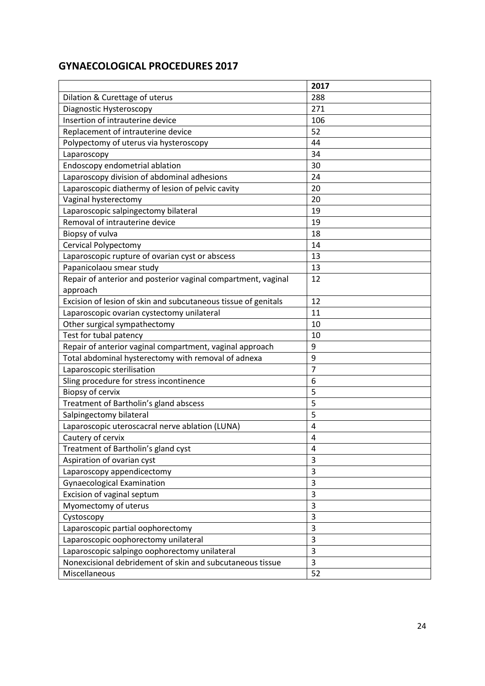# **GYNAECOLOGICAL PROCEDURES 2017**

|                                                                | 2017 |
|----------------------------------------------------------------|------|
| Dilation & Curettage of uterus                                 | 288  |
| Diagnostic Hysteroscopy                                        | 271  |
| Insertion of intrauterine device                               | 106  |
| Replacement of intrauterine device                             | 52   |
| Polypectomy of uterus via hysteroscopy                         | 44   |
| Laparoscopy                                                    | 34   |
| Endoscopy endometrial ablation                                 | 30   |
| Laparoscopy division of abdominal adhesions                    | 24   |
| Laparoscopic diathermy of lesion of pelvic cavity              | 20   |
| Vaginal hysterectomy                                           | 20   |
| Laparoscopic salpingectomy bilateral                           | 19   |
| Removal of intrauterine device                                 | 19   |
| Biopsy of vulva                                                | 18   |
| Cervical Polypectomy                                           | 14   |
| Laparoscopic rupture of ovarian cyst or abscess                | 13   |
| Papanicolaou smear study                                       | 13   |
| Repair of anterior and posterior vaginal compartment, vaginal  | 12   |
| approach                                                       |      |
| Excision of lesion of skin and subcutaneous tissue of genitals | 12   |
| Laparoscopic ovarian cystectomy unilateral                     | 11   |
| Other surgical sympathectomy                                   | 10   |
| Test for tubal patency                                         | 10   |
| Repair of anterior vaginal compartment, vaginal approach       | 9    |
| Total abdominal hysterectomy with removal of adnexa            | 9    |
| Laparoscopic sterilisation                                     | 7    |
| Sling procedure for stress incontinence                        | 6    |
| Biopsy of cervix                                               | 5    |
| Treatment of Bartholin's gland abscess                         | 5    |
| Salpingectomy bilateral                                        | 5    |
| Laparoscopic uteroscacral nerve ablation (LUNA)                | 4    |
| Cautery of cervix                                              | 4    |
| Treatment of Bartholin's gland cyst                            | 4    |
| Aspiration of ovarian cyst                                     | 3    |
| Laparoscopy appendicectomy                                     | 3    |
| <b>Gynaecological Examination</b>                              | 3    |
| Excision of vaginal septum                                     | 3    |
| Myomectomy of uterus                                           | 3    |
| Cystoscopy                                                     | 3    |
| Laparoscopic partial oophorectomy                              | 3    |
| Laparoscopic oophorectomy unilateral                           | 3    |
| Laparoscopic salpingo oophorectomy unilateral                  | 3    |
| Nonexcisional debridement of skin and subcutaneous tissue      | 3    |
| Miscellaneous                                                  | 52   |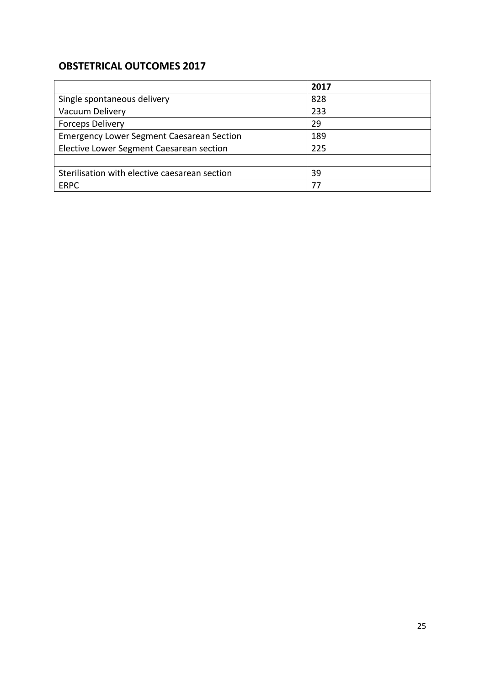# **OBSTETRICAL OUTCOMES 2017**

|                                                  | 2017 |
|--------------------------------------------------|------|
| Single spontaneous delivery                      | 828  |
| Vacuum Delivery                                  | 233  |
| <b>Forceps Delivery</b>                          | 29   |
| <b>Emergency Lower Segment Caesarean Section</b> | 189  |
| Elective Lower Segment Caesarean section         | 225  |
|                                                  |      |
| Sterilisation with elective caesarean section    | 39   |
| <b>ERPC</b>                                      | 77   |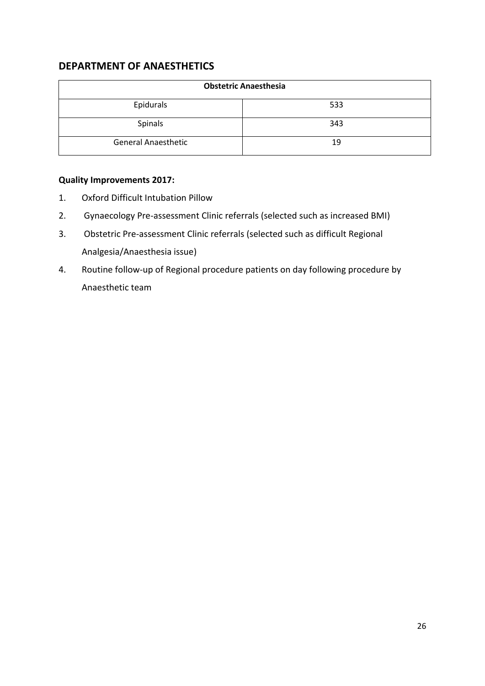# **DEPARTMENT OF ANAESTHETICS**

|                            | <b>Obstetric Anaesthesia</b> |
|----------------------------|------------------------------|
| Epidurals                  | 533                          |
| Spinals                    | 343                          |
| <b>General Anaesthetic</b> | 19                           |

# **Quality Improvements 2017:**

- 1. Oxford Difficult Intubation Pillow
- 2. Gynaecology Pre-assessment Clinic referrals (selected such as increased BMI)
- 3. Obstetric Pre-assessment Clinic referrals (selected such as difficult Regional Analgesia/Anaesthesia issue)
- 4. Routine follow-up of Regional procedure patients on day following procedure by Anaesthetic team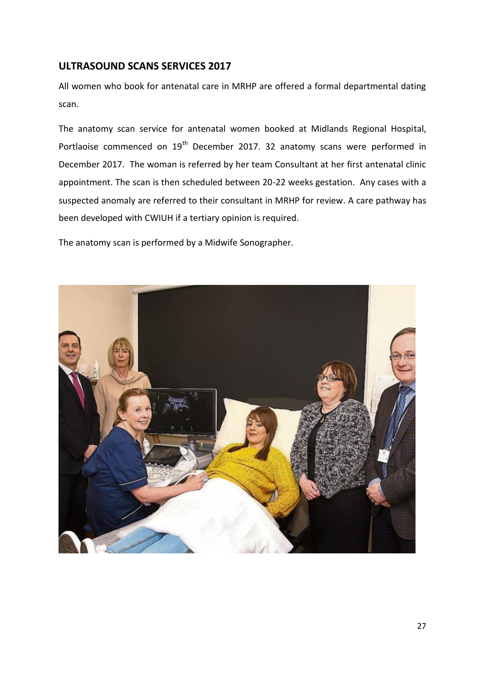# **ULTRASOUND SCANS SERVICES 2017**

All women who book for antenatal care in MRHP are offered a formal departmental dating scan.

The anatomy scan service for antenatal women booked at Midlands Regional Hospital, Portlaoise commenced on 19<sup>th</sup> December 2017. 32 anatomy scans were performed in December 2017. The woman is referred by her team Consultant at her first antenatal clinic appointment. The scan is then scheduled between 20-22 weeks gestation. Any cases with a suspected anomaly are referred to their consultant in MRHP for review. A care pathway has been developed with CWIUH if a tertiary opinion is required.

The anatomy scan is performed by a Midwife Sonographer.

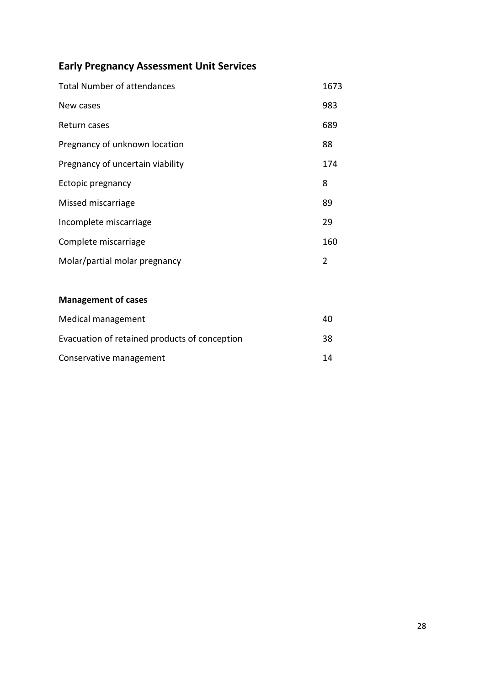# **Early Pregnancy Assessment Unit Services**

| <b>Total Number of attendances</b> | 1673 |
|------------------------------------|------|
| New cases                          | 983  |
| Return cases                       | 689  |
| Pregnancy of unknown location      | 88   |
| Pregnancy of uncertain viability   | 174  |
| Ectopic pregnancy                  | 8    |
| Missed miscarriage                 | 89   |
| Incomplete miscarriage             | 29   |
| Complete miscarriage               | 160  |
| Molar/partial molar pregnancy      | 2    |

# **Management of cases**

| Medical management                            | 40 |
|-----------------------------------------------|----|
| Evacuation of retained products of conception | 38 |
| Conservative management                       | 14 |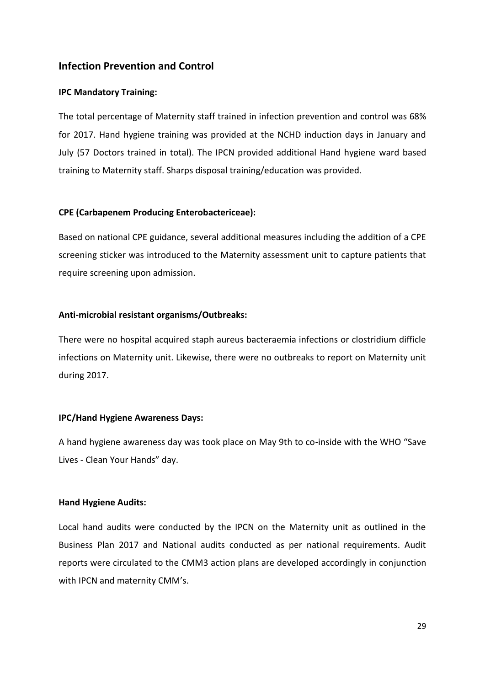## **Infection Prevention and Control**

#### **IPC Mandatory Training:**

The total percentage of Maternity staff trained in infection prevention and control was 68% for 2017. Hand hygiene training was provided at the NCHD induction days in January and July (57 Doctors trained in total). The IPCN provided additional Hand hygiene ward based training to Maternity staff. Sharps disposal training/education was provided.

#### **CPE (Carbapenem Producing Enterobactericeae):**

Based on national CPE guidance, several additional measures including the addition of a CPE screening sticker was introduced to the Maternity assessment unit to capture patients that require screening upon admission.

#### **Anti-microbial resistant organisms/Outbreaks:**

There were no hospital acquired staph aureus bacteraemia infections or clostridium difficle infections on Maternity unit. Likewise, there were no outbreaks to report on Maternity unit during 2017.

#### **IPC/Hand Hygiene Awareness Days:**

A hand hygiene awareness day was took place on May 9th to co-inside with the WHO "Save Lives - Clean Your Hands" day.

#### **Hand Hygiene Audits:**

Local hand audits were conducted by the IPCN on the Maternity unit as outlined in the Business Plan 2017 and National audits conducted as per national requirements. Audit reports were circulated to the CMM3 action plans are developed accordingly in conjunction with IPCN and maternity CMM's.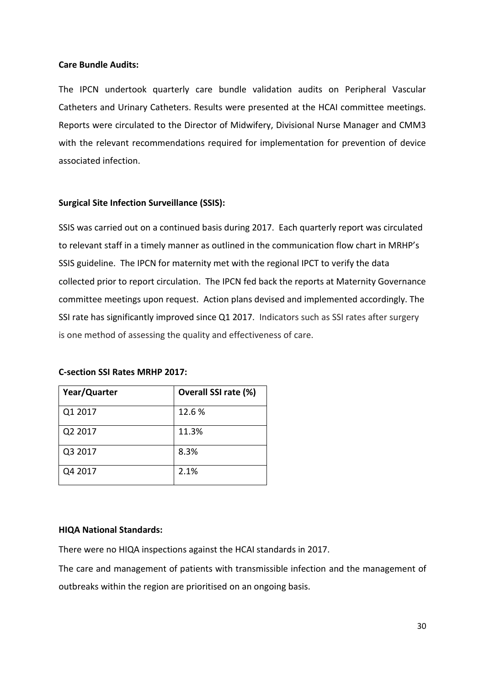#### **Care Bundle Audits:**

The IPCN undertook quarterly care bundle validation audits on Peripheral Vascular Catheters and Urinary Catheters. Results were presented at the HCAI committee meetings. Reports were circulated to the Director of Midwifery, Divisional Nurse Manager and CMM3 with the relevant recommendations required for implementation for prevention of device associated infection.

#### **Surgical Site Infection Surveillance (SSIS):**

SSIS was carried out on a continued basis during 2017. Each quarterly report was circulated to relevant staff in a timely manner as outlined in the communication flow chart in MRHP's SSIS guideline. The IPCN for maternity met with the regional IPCT to verify the data collected prior to report circulation. The IPCN fed back the reports at Maternity Governance committee meetings upon request. Action plans devised and implemented accordingly. The SSI rate has significantly improved since Q1 2017. Indicators such as SSI rates after surgery is one method of assessing the quality and effectiveness of care.

#### **C-section SSI Rates MRHP 2017:**

| Year/Quarter | Overall SSI rate (%) |
|--------------|----------------------|
| Q1 2017      | 12.6 %               |
| Q2 2017      | 11.3%                |
| Q3 2017      | 8.3%                 |
| Q4 2017      | 2.1%                 |

#### **HIQA National Standards:**

There were no HIQA inspections against the HCAI standards in 2017.

The care and management of patients with transmissible infection and the management of outbreaks within the region are prioritised on an ongoing basis.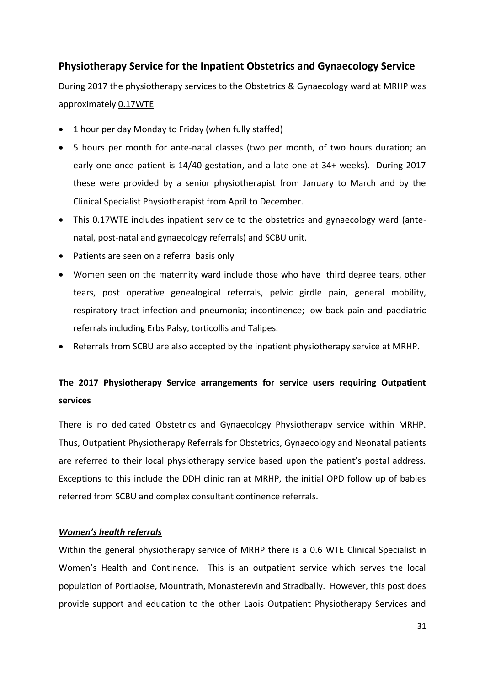# **Physiotherapy Service for the Inpatient Obstetrics and Gynaecology Service**

During 2017 the physiotherapy services to the Obstetrics & Gynaecology ward at MRHP was approximately 0.17WTE

- 1 hour per day Monday to Friday (when fully staffed)
- 5 hours per month for ante-natal classes (two per month, of two hours duration; an early one once patient is 14/40 gestation, and a late one at 34+ weeks). During 2017 these were provided by a senior physiotherapist from January to March and by the Clinical Specialist Physiotherapist from April to December.
- This 0.17WTE includes inpatient service to the obstetrics and gynaecology ward (antenatal, post-natal and gynaecology referrals) and SCBU unit.
- Patients are seen on a referral basis only
- Women seen on the maternity ward include those who have third degree tears, other tears, post operative genealogical referrals, pelvic girdle pain, general mobility, respiratory tract infection and pneumonia; incontinence; low back pain and paediatric referrals including Erbs Palsy, torticollis and Talipes.
- Referrals from SCBU are also accepted by the inpatient physiotherapy service at MRHP.

# **The 2017 Physiotherapy Service arrangements for service users requiring Outpatient services**

There is no dedicated Obstetrics and Gynaecology Physiotherapy service within MRHP. Thus, Outpatient Physiotherapy Referrals for Obstetrics, Gynaecology and Neonatal patients are referred to their local physiotherapy service based upon the patient's postal address. Exceptions to this include the DDH clinic ran at MRHP, the initial OPD follow up of babies referred from SCBU and complex consultant continence referrals.

#### *Women's health referrals*

Within the general physiotherapy service of MRHP there is a 0.6 WTE Clinical Specialist in Women's Health and Continence. This is an outpatient service which serves the local population of Portlaoise, Mountrath, Monasterevin and Stradbally. However, this post does provide support and education to the other Laois Outpatient Physiotherapy Services and